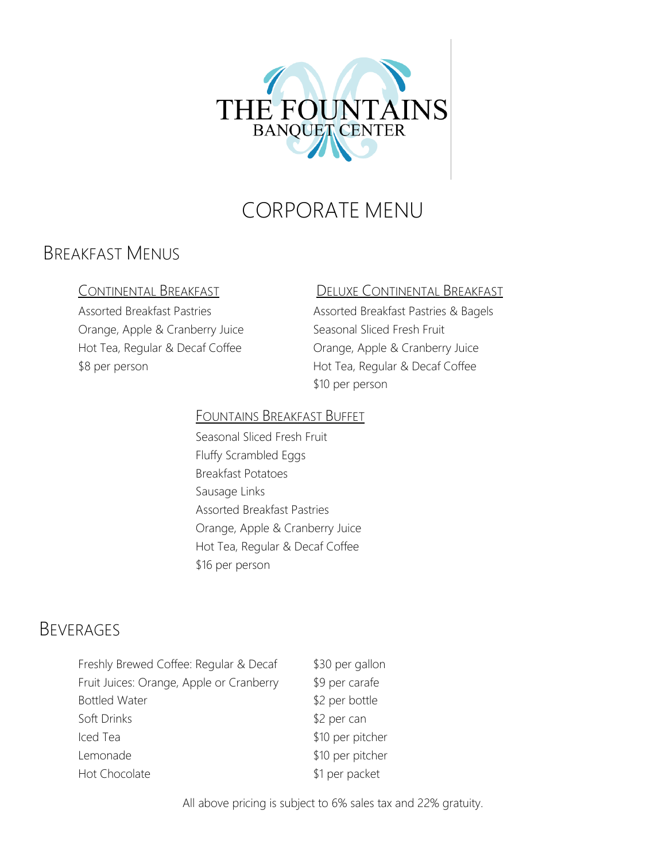

# CORPORATE MENU

## BREAKFAST MENUS

Orange, Apple & Cranberry Juice Seasonal Sliced Fresh Fruit Hot Tea, Regular & Decaf Coffee **Canadage, Apple & Cranberry Juice** \$8 per person **Example 20 Person** Hot Tea, Regular & Decaf Coffee

#### CONTINENTAL BREAKFAST DELUXE CONTINENTAL BREAKFAST

Assorted Breakfast Pastries Assorted Breakfast Pastries & Bagels \$10 per person

#### FOUNTAINS BREAKFAST BUFFET

Seasonal Sliced Fresh Fruit Fluffy Scrambled Eggs Breakfast Potatoes Sausage Links Assorted Breakfast Pastries Orange, Apple & Cranberry Juice Hot Tea, Regular & Decaf Coffee \$16 per person

## BEVERAGES

| Freshly Brewed Coffee: Regular & Decaf   | \$30 per gallon  |
|------------------------------------------|------------------|
| Fruit Juices: Orange, Apple or Cranberry | \$9 per carafe   |
| <b>Bottled Water</b>                     | \$2 per bottle   |
| Soft Drinks                              | \$2 per can      |
| Iced Tea                                 | \$10 per pitcher |
| Lemonade                                 | \$10 per pitcher |
| Hot Chocolate                            | \$1 per packet   |

All above pricing is subject to 6% sales tax and 22% gratuity.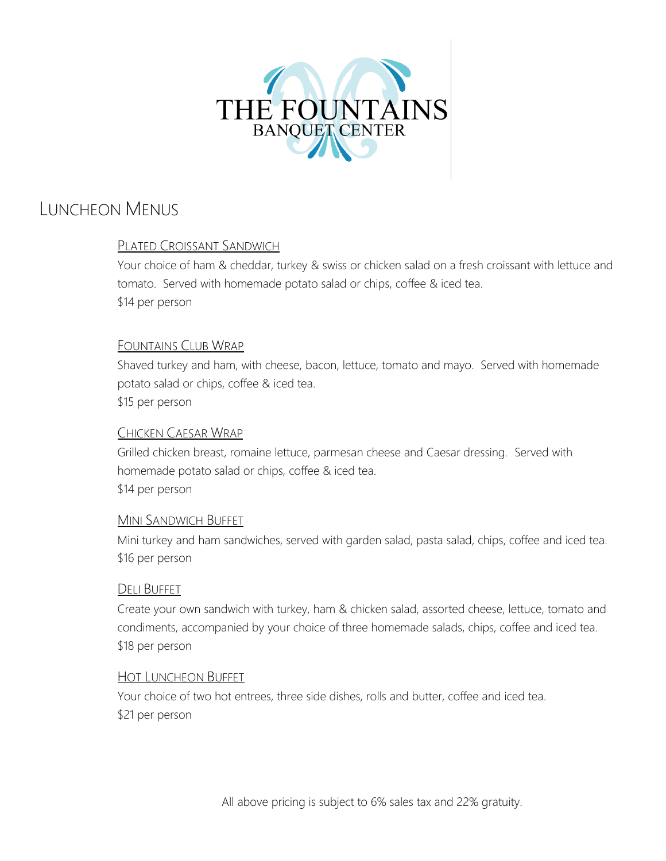

## LUNCHEON MENUS

### PLATED CROISSANT SANDWICH

Your choice of ham & cheddar, turkey & swiss or chicken salad on a fresh croissant with lettuce and tomato. Served with homemade potato salad or chips, coffee & iced tea. \$14 per person

#### FOUNTAINS CLUB WRAP

Shaved turkey and ham, with cheese, bacon, lettuce, tomato and mayo. Served with homemade potato salad or chips, coffee & iced tea. \$15 per person

#### CHICKEN CAESAR WRAP

Grilled chicken breast, romaine lettuce, parmesan cheese and Caesar dressing. Served with homemade potato salad or chips, coffee & iced tea. \$14 per person

#### MINI SANDWICH BUFFET

Mini turkey and ham sandwiches, served with garden salad, pasta salad, chips, coffee and iced tea. \$16 per person

#### DELI BUFFET

Create your own sandwich with turkey, ham & chicken salad, assorted cheese, lettuce, tomato and condiments, accompanied by your choice of three homemade salads, chips, coffee and iced tea. \$18 per person

#### HOT LUNCHEON BUFFET

Your choice of two hot entrees, three side dishes, rolls and butter, coffee and iced tea. \$21 per person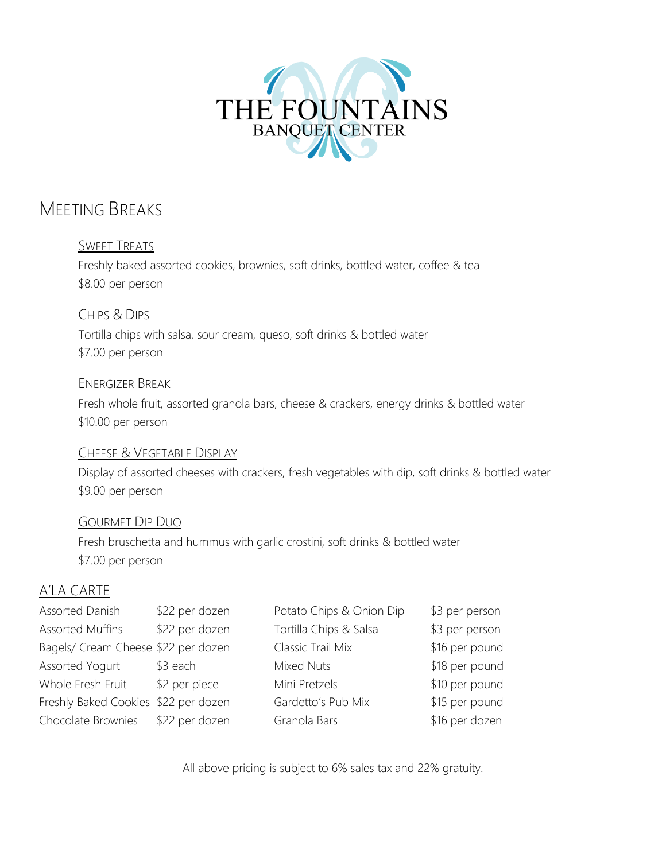

## MEETING BREAKS

#### SWEET TREATS

Freshly baked assorted cookies, brownies, soft drinks, bottled water, coffee & tea \$8.00 per person

CHIPS & DIPS Tortilla chips with salsa, sour cream, queso, soft drinks & bottled water \$7.00 per person

#### ENERGIZER BREAK

Fresh whole fruit, assorted granola bars, cheese & crackers, energy drinks & bottled water \$10.00 per person

#### CHEESE & VEGETABLE DISPLAY

Display of assorted cheeses with crackers, fresh vegetables with dip, soft drinks & bottled water \$9.00 per person

#### GOURMET DIP DUO

Fresh bruschetta and hummus with garlic crostini, soft drinks & bottled water \$7.00 per person

### A'LA CARTE

| Assorted Danish                      | \$22 per dozen | Potato Chips & Onion Dip | \$3 per person |
|--------------------------------------|----------------|--------------------------|----------------|
| Assorted Muffins                     | \$22 per dozen | Tortilla Chips & Salsa   | \$3 per person |
| Bagels/ Cream Cheese \$22 per dozen  |                | Classic Trail Mix        | \$16 per pound |
| Assorted Yogurt                      | $$3$ each      | Mixed Nuts               | \$18 per pound |
| Whole Fresh Fruit                    | \$2 per piece  | Mini Pretzels            | \$10 per pound |
| Freshly Baked Cookies \$22 per dozen |                | Gardetto's Pub Mix       | \$15 per pound |
| Chocolate Brownies                   | \$22 per dozen | Granola Bars             | \$16 per dozen |

All above pricing is subject to 6% sales tax and 22% gratuity.